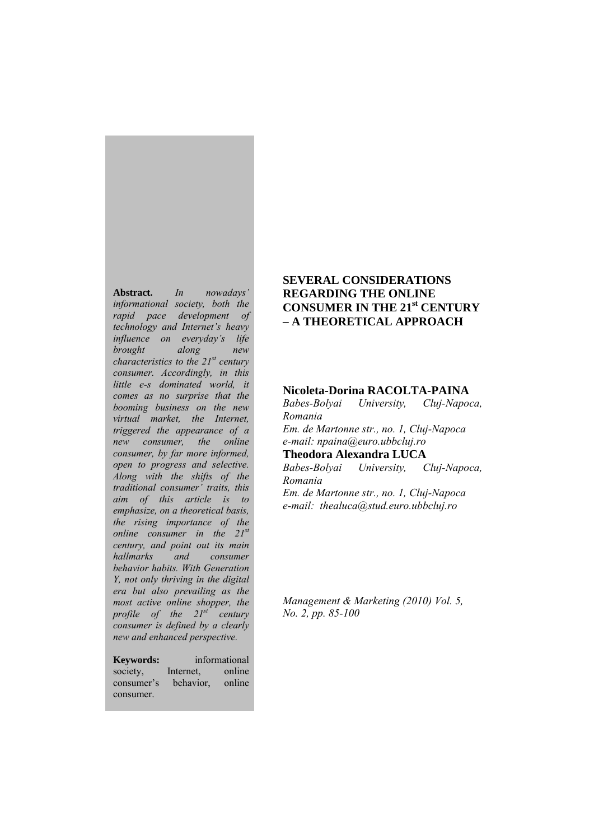**Abstract.** *In nowadays' informational society, both the rapid pace development of technology and Internet's heavy influence on everyday's life brought along new characteristics to the 21st century consumer. Accordingly, in this little e-s dominated world, it comes as no surprise that the booming business on the new virtual market, the Internet, triggered the appearance of a new consumer, the online consumer, by far more informed, open to progress and selective. Along with the shifts of the traditional consumer' traits, this aim of this article is to emphasize, on a theoretical basis, the rising importance of the online consumer in the 21st century, and point out its main hallmarks and consumer behavior habits. With Generation Y, not only thriving in the digital era but also prevailing as the most active online shopper, the profile of the 21st century consumer is defined by a clearly new and enhanced perspective.* 

**Keywords:** informational society, Internet, online consumer's behavior, online consumer.

## **SEVERAL CONSIDERATIONS REGARDING THE ONLINE CONSUMER IN THE 21st CENTURY – A THEORETICAL APPROACH**

### **Nicoleta-Dorina RACOLTA-PAINA**

*Babes-Bolyai University, Cluj-Napoca, Romania Em. de Martonne str., no. 1, Cluj-Napoca e-mail: npaina@euro.ubbcluj.ro*  **Theodora Alexandra LUCA** 

*Babes-Bolyai University, Cluj-Napoca, Romania Em. de Martonne str., no. 1, Cluj-Napoca e-mail: thealuca@stud.euro.ubbcluj.ro* 

*Management & Marketing (2010) Vol. 5, No. 2, pp. 85-100*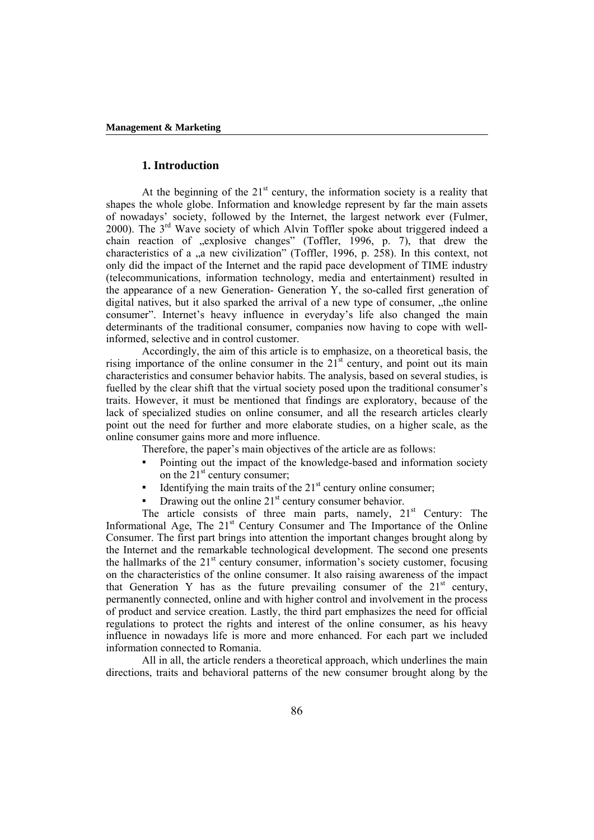### **1. Introduction**

At the beginning of the  $21<sup>st</sup>$  century, the information society is a reality that shapes the whole globe. Information and knowledge represent by far the main assets of nowadays' society, followed by the Internet, the largest network ever (Fulmer, 2000). The  $3<sup>rd</sup>$  Wave society of which Alvin Toffler spoke about triggered indeed a chain reaction of "explosive changes" (Toffler, 1996, p. 7), that drew the characteristics of a "a new civilization" (Toffler, 1996, p. 258). In this context, not only did the impact of the Internet and the rapid pace development of TIME industry (telecommunications, information technology, media and entertainment) resulted in the appearance of a new Generation- Generation Y, the so-called first generation of digital natives, but it also sparked the arrival of a new type of consumer, ..the online consumer". Internet's heavy influence in everyday's life also changed the main determinants of the traditional consumer, companies now having to cope with wellinformed, selective and in control customer.

Accordingly, the aim of this article is to emphasize, on a theoretical basis, the rising importance of the online consumer in the  $21<sup>st</sup>$  century, and point out its main characteristics and consumer behavior habits. The analysis, based on several studies, is fuelled by the clear shift that the virtual society posed upon the traditional consumer's traits. However, it must be mentioned that findings are exploratory, because of the lack of specialized studies on online consumer, and all the research articles clearly point out the need for further and more elaborate studies, on a higher scale, as the online consumer gains more and more influence.

Therefore, the paper's main objectives of the article are as follows:

- Pointing out the impact of the knowledge-based and information society on the  $21<sup>st</sup>$  century consumer;
- Identifying the main traits of the  $21<sup>st</sup>$  century online consumer;
- Drawing out the online  $21<sup>st</sup>$  century consumer behavior.

The article consists of three main parts, namely,  $21<sup>st</sup>$  Century: The Informational Age, The 21<sup>st</sup> Century Consumer and The Importance of the Online Consumer. The first part brings into attention the important changes brought along by the Internet and the remarkable technological development. The second one presents the hallmarks of the  $21<sup>st</sup>$  century consumer, information's society customer, focusing on the characteristics of the online consumer. It also raising awareness of the impact that Generation Y has as the future prevailing consumer of the  $21<sup>st</sup>$  century, permanently connected, online and with higher control and involvement in the process of product and service creation. Lastly, the third part emphasizes the need for official regulations to protect the rights and interest of the online consumer, as his heavy influence in nowadays life is more and more enhanced. For each part we included information connected to Romania.

All in all, the article renders a theoretical approach, which underlines the main directions, traits and behavioral patterns of the new consumer brought along by the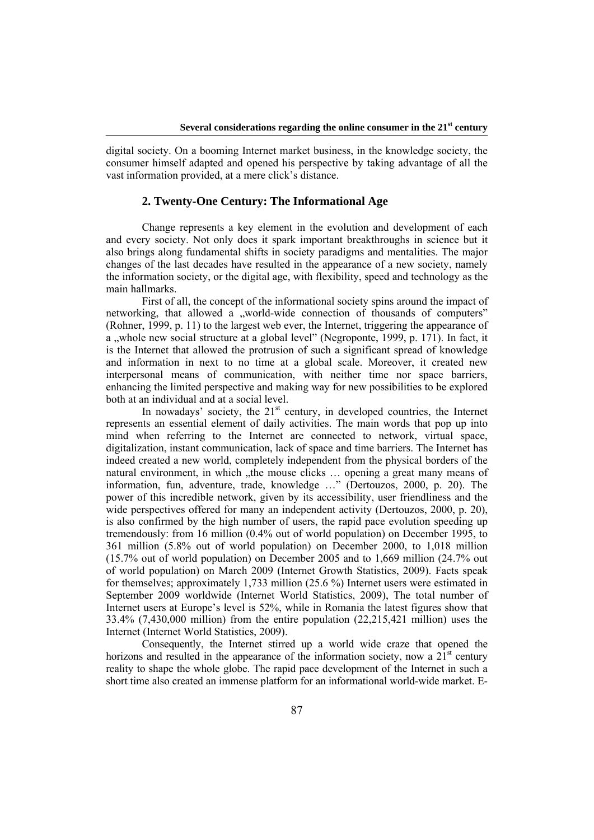digital society. On a booming Internet market business, in the knowledge society, the consumer himself adapted and opened his perspective by taking advantage of all the vast information provided, at a mere click's distance.

### **2. Twenty-One Century: The Informational Age**

Change represents a key element in the evolution and development of each and every society. Not only does it spark important breakthroughs in science but it also brings along fundamental shifts in society paradigms and mentalities. The major changes of the last decades have resulted in the appearance of a new society, namely the information society, or the digital age, with flexibility, speed and technology as the main hallmarks.

First of all, the concept of the informational society spins around the impact of networking, that allowed a "world-wide connection of thousands of computers" (Rohner, 1999, p. 11) to the largest web ever, the Internet, triggering the appearance of a "whole new social structure at a global level" (Negroponte, 1999, p. 171). In fact, it is the Internet that allowed the protrusion of such a significant spread of knowledge and information in next to no time at a global scale. Moreover, it created new interpersonal means of communication, with neither time nor space barriers, enhancing the limited perspective and making way for new possibilities to be explored both at an individual and at a social level.

In nowadays' society, the  $21<sup>st</sup>$  century, in developed countries, the Internet represents an essential element of daily activities. The main words that pop up into mind when referring to the Internet are connected to network, virtual space, digitalization, instant communication, lack of space and time barriers. The Internet has indeed created a new world, completely independent from the physical borders of the natural environment, in which "the mouse clicks"... opening a great many means of information, fun, adventure, trade, knowledge …" (Dertouzos, 2000, p. 20). The power of this incredible network, given by its accessibility, user friendliness and the wide perspectives offered for many an independent activity (Dertouzos, 2000, p. 20). is also confirmed by the high number of users, the rapid pace evolution speeding up tremendously: from 16 million (0.4% out of world population) on December 1995, to 361 million (5.8% out of world population) on December 2000, to 1,018 million (15.7% out of world population) on December 2005 and to 1,669 million (24.7% out of world population) on March 2009 (Internet Growth Statistics, 2009). Facts speak for themselves; approximately 1,733 million (25.6 %) Internet users were estimated in September 2009 worldwide (Internet World Statistics, 2009), The total number of Internet users at Europe's level is 52%, while in Romania the latest figures show that 33.4% (7,430,000 million) from the entire population (22,215,421 million) uses the Internet (Internet World Statistics, 2009).

Consequently, the Internet stirred up a world wide craze that opened the horizons and resulted in the appearance of the information society, now a  $2\tilde{1}^{st}$  century reality to shape the whole globe. The rapid pace development of the Internet in such a short time also created an immense platform for an informational world-wide market. E-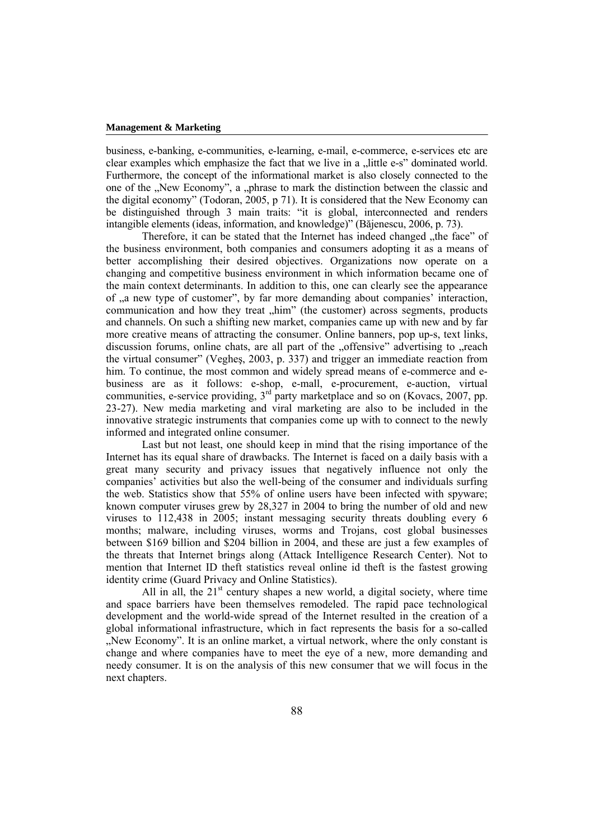business, e-banking, e-communities, e-learning, e-mail, e-commerce, e-services etc are clear examples which emphasize the fact that we live in a "little e-s" dominated world. Furthermore, the concept of the informational market is also closely connected to the one of the "New Economy", a "phrase to mark the distinction between the classic and the digital economy" (Todoran, 2005, p 71). It is considered that the New Economy can be distinguished through 3 main traits: "it is global, interconnected and renders intangible elements (ideas, information, and knowledge)" (Băjenescu, 2006, p. 73).

Therefore, it can be stated that the Internet has indeed changed , the face" of the business environment, both companies and consumers adopting it as a means of better accomplishing their desired objectives. Organizations now operate on a changing and competitive business environment in which information became one of the main context determinants. In addition to this, one can clearly see the appearance of , a new type of customer", by far more demanding about companies' interaction, communication and how they treat  $\mu$ him" (the customer) across segments, products and channels. On such a shifting new market, companies came up with new and by far more creative means of attracting the consumer. Online banners, pop up-s, text links, discussion forums, online chats, are all part of the ... of fensive" advertising to ... reach the virtual consumer" (Vegheş, 2003, p. 337) and trigger an immediate reaction from him. To continue, the most common and widely spread means of e-commerce and ebusiness are as it follows: e-shop, e-mall, e-procurement, e-auction, virtual communities, e-service providing,  $3<sup>rd</sup>$  party marketplace and so on (Kovacs, 2007, pp. 23-27). New media marketing and viral marketing are also to be included in the innovative strategic instruments that companies come up with to connect to the newly informed and integrated online consumer.

Last but not least, one should keep in mind that the rising importance of the Internet has its equal share of drawbacks. The Internet is faced on a daily basis with a great many security and privacy issues that negatively influence not only the companies' activities but also the well-being of the consumer and individuals surfing the web. Statistics show that 55% of online users have been infected with spyware; known computer viruses grew by 28,327 in 2004 to bring the number of old and new viruses to 112,438 in 2005; instant messaging security threats doubling every 6 months; malware, including viruses, worms and Trojans, cost global businesses between \$169 billion and \$204 billion in 2004, and these are just a few examples of the threats that Internet brings along (Attack Intelligence Research Center). Not to mention that Internet ID theft statistics reveal online id theft is the fastest growing identity crime (Guard Privacy and Online Statistics).

All in all, the  $21<sup>st</sup>$  century shapes a new world, a digital society, where time and space barriers have been themselves remodeled. The rapid pace technological development and the world-wide spread of the Internet resulted in the creation of a global informational infrastructure, which in fact represents the basis for a so-called "New Economy". It is an online market, a virtual network, where the only constant is change and where companies have to meet the eye of a new, more demanding and needy consumer. It is on the analysis of this new consumer that we will focus in the next chapters.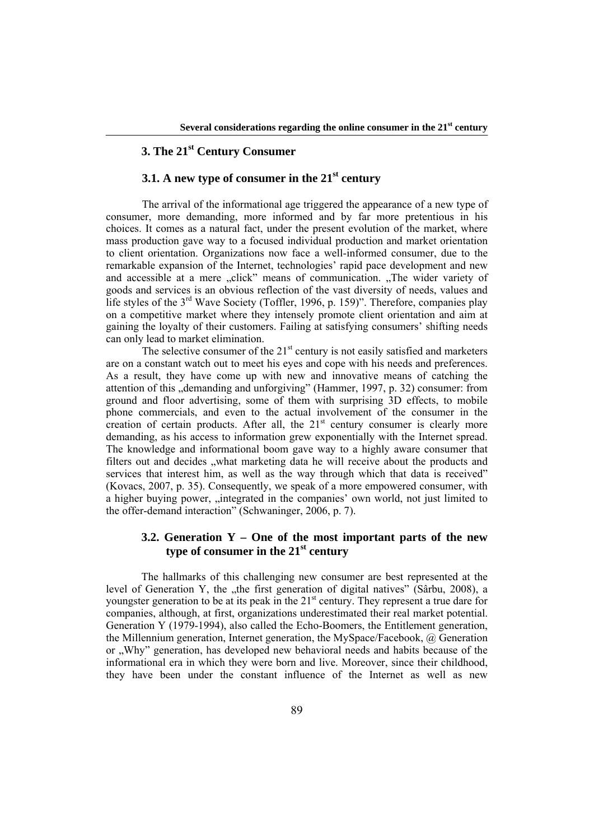# **3. The 21st Century Consumer**

## **3.1. A new type of consumer in the 21st century**

The arrival of the informational age triggered the appearance of a new type of consumer, more demanding, more informed and by far more pretentious in his choices. It comes as a natural fact, under the present evolution of the market, where mass production gave way to a focused individual production and market orientation to client orientation. Organizations now face a well-informed consumer, due to the remarkable expansion of the Internet, technologies' rapid pace development and new and accessible at a mere "click" means of communication. "The wider variety of goods and services is an obvious reflection of the vast diversity of needs, values and life styles of the  $3<sup>rd</sup>$  Wave Society (Toffler, 1996, p. 159)". Therefore, companies play on a competitive market where they intensely promote client orientation and aim at gaining the loyalty of their customers. Failing at satisfying consumers' shifting needs can only lead to market elimination.

The selective consumer of the  $21<sup>st</sup>$  century is not easily satisfied and marketers are on a constant watch out to meet his eyes and cope with his needs and preferences. As a result, they have come up with new and innovative means of catching the attention of this "demanding and unforgiving" (Hammer, 1997, p. 32) consumer: from ground and floor advertising, some of them with surprising 3D effects, to mobile phone commercials, and even to the actual involvement of the consumer in the creation of certain products. After all, the  $21<sup>st</sup>$  century consumer is clearly more demanding, as his access to information grew exponentially with the Internet spread. The knowledge and informational boom gave way to a highly aware consumer that filters out and decides "what marketing data he will receive about the products and services that interest him, as well as the way through which that data is received" (Kovacs, 2007, p. 35). Consequently, we speak of a more empowered consumer, with a higher buying power, "integrated in the companies' own world, not just limited to the offer-demand interaction" (Schwaninger, 2006, p. 7).

### **3.2. Generation Y – One of the most important parts of the new type of consumer in the 21st century**

The hallmarks of this challenging new consumer are best represented at the level of Generation Y, the "the first generation of digital natives" (Sârbu, 2008), a youngster generation to be at its peak in the 21<sup>st</sup> century. They represent a true dare for companies, although, at first, organizations underestimated their real market potential. Generation Y (1979-1994), also called the Echo-Boomers, the Entitlement generation, the Millennium generation, Internet generation, the MySpace/Facebook, @ Generation or "Why" generation, has developed new behavioral needs and habits because of the informational era in which they were born and live. Moreover, since their childhood, they have been under the constant influence of the Internet as well as new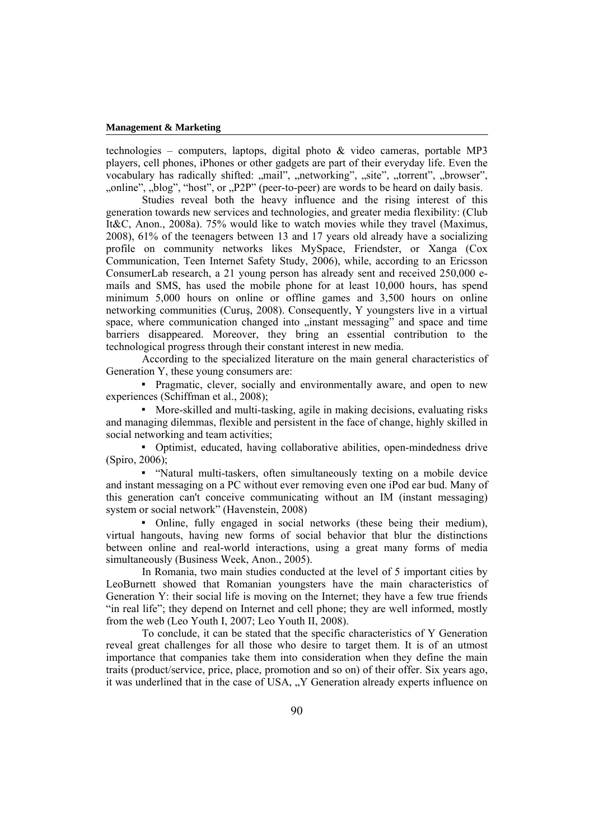technologies – computers, laptops, digital photo  $\&$  video cameras, portable MP3 players, cell phones, iPhones or other gadgets are part of their everyday life. Even the vocabulary has radically shifted: "mail", "networking", "site", "torrent", "browser", ", "online", "blog", "host", or "P2P" (peer-to-peer) are words to be heard on daily basis.

Studies reveal both the heavy influence and the rising interest of this generation towards new services and technologies, and greater media flexibility: (Club It&C, Anon., 2008a). 75% would like to watch movies while they travel (Maximus, 2008), 61% of the teenagers between 13 and 17 years old already have a socializing profile on community networks likes MySpace, Friendster, or Xanga (Cox Communication, Teen Internet Safety Study, 2006), while, according to an Ericsson ConsumerLab research, a 21 young person has already sent and received 250,000 emails and SMS, has used the mobile phone for at least 10,000 hours, has spend minimum 5,000 hours on online or offline games and 3,500 hours on online networking communities (Curuş, 2008). Consequently, Y youngsters live in a virtual space, where communication changed into "instant messaging" and space and time barriers disappeared. Moreover, they bring an essential contribution to the technological progress through their constant interest in new media.

According to the specialized literature on the main general characteristics of Generation Y, these young consumers are:

▪ Pragmatic, clever, socially and environmentally aware, and open to new experiences (Schiffman et al., 2008);

▪ More-skilled and multi-tasking, agile in making decisions, evaluating risks and managing dilemmas, flexible and persistent in the face of change, highly skilled in social networking and team activities;

▪ Optimist, educated, having collaborative abilities, open-mindedness drive (Spiro, 2006);

▪ "Natural multi-taskers, often simultaneously texting on a mobile device and instant messaging on a PC without ever removing even one iPod ear bud. Many of this generation can't conceive communicating without an IM (instant messaging) system or social network" (Havenstein, 2008)

▪ Online, fully engaged in social networks (these being their medium), virtual hangouts, having new forms of social behavior that blur the distinctions between online and real-world interactions, using a great many forms of media simultaneously (Business Week, Anon., 2005).

In Romania, two main studies conducted at the level of 5 important cities by LeoBurnett showed that Romanian youngsters have the main characteristics of Generation Y: their social life is moving on the Internet; they have a few true friends "in real life"; they depend on Internet and cell phone; they are well informed, mostly from the web (Leo Youth I, 2007; Leo Youth II, 2008).

To conclude, it can be stated that the specific characteristics of Y Generation reveal great challenges for all those who desire to target them. It is of an utmost importance that companies take them into consideration when they define the main traits (product/service, price, place, promotion and so on) of their offer. Six years ago, it was underlined that in the case of USA, "Y Generation already experts influence on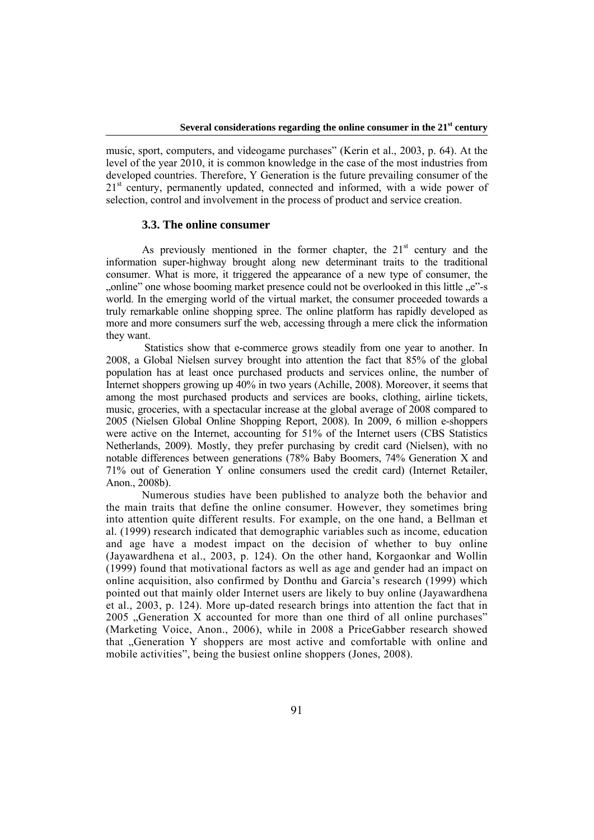music, sport, computers, and videogame purchases" (Kerin et al., 2003, p. 64). At the level of the year 2010, it is common knowledge in the case of the most industries from developed countries. Therefore, Y Generation is the future prevailing consumer of the  $21<sup>st</sup>$  century, permanently updated, connected and informed, with a wide power of selection, control and involvement in the process of product and service creation.

### **3.3. The online consumer**

As previously mentioned in the former chapter, the  $21<sup>st</sup>$  century and the information super-highway brought along new determinant traits to the traditional consumer. What is more, it triggered the appearance of a new type of consumer, the ", online" one whose booming market presence could not be overlooked in this little "e"-s", world. In the emerging world of the virtual market, the consumer proceeded towards a truly remarkable online shopping spree. The online platform has rapidly developed as more and more consumers surf the web, accessing through a mere click the information they want.

 Statistics show that e-commerce grows steadily from one year to another. In 2008, a Global Nielsen survey brought into attention the fact that 85% of the global population has at least once purchased products and services online, the number of Internet shoppers growing up 40% in two years (Achille, 2008). Moreover, it seems that among the most purchased products and services are books, clothing, airline tickets, music, groceries, with a spectacular increase at the global average of 2008 compared to 2005 (Nielsen Global Online Shopping Report, 2008). In 2009, 6 million e-shoppers were active on the Internet, accounting for 51% of the Internet users (CBS Statistics Netherlands, 2009). Mostly, they prefer purchasing by credit card (Nielsen), with no notable differences between generations (78% Baby Boomers, 74% Generation X and 71% out of Generation Y online consumers used the credit card) (Internet Retailer, Anon., 2008b).

Numerous studies have been published to analyze both the behavior and the main traits that define the online consumer. However, they sometimes bring into attention quite different results. For example, on the one hand, a Bellman et al. (1999) research indicated that demographic variables such as income, education and age have a modest impact on the decision of whether to buy online (Jayawardhena et al., 2003, p. 124). On the other hand, Korgaonkar and Wollin (1999) found that motivational factors as well as age and gender had an impact on online acquisition, also confirmed by Donthu and Garcia's research (1999) which pointed out that mainly older Internet users are likely to buy online (Jayawardhena et al., 2003, p. 124). More up-dated research brings into attention the fact that in 2005 "Generation X accounted for more than one third of all online purchases" (Marketing Voice, Anon., 2006), while in 2008 a PriceGabber research showed that "Generation Y shoppers are most active and comfortable with online and mobile activities", being the busiest online shoppers (Jones, 2008).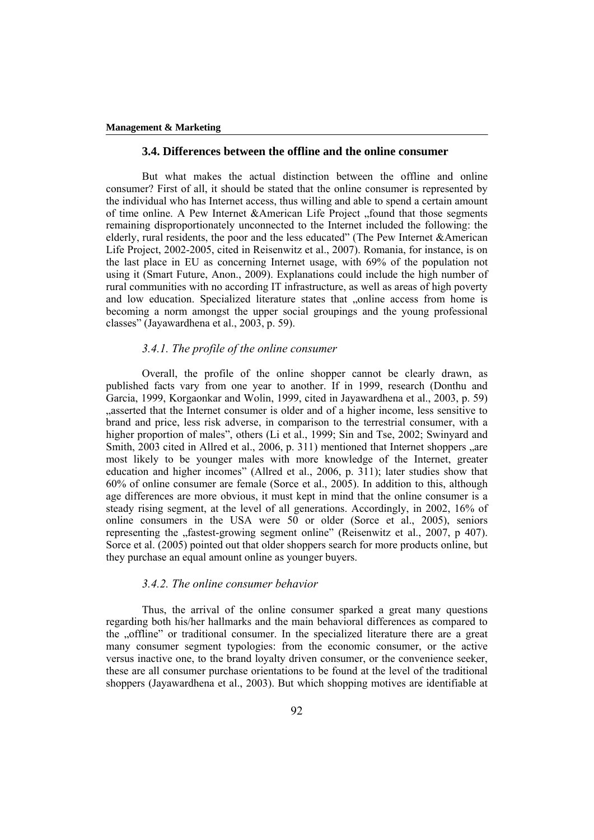#### **3.4. Differences between the offline and the online consumer**

But what makes the actual distinction between the offline and online consumer? First of all, it should be stated that the online consumer is represented by the individual who has Internet access, thus willing and able to spend a certain amount of time online. A Pew Internet &American Life Project "found that those segments" remaining disproportionately unconnected to the Internet included the following: the elderly, rural residents, the poor and the less educated" (The Pew Internet &American Life Project, 2002-2005, cited in Reisenwitz et al., 2007). Romania, for instance, is on the last place in EU as concerning Internet usage, with 69% of the population not using it (Smart Future, Anon., 2009). Explanations could include the high number of rural communities with no according IT infrastructure, as well as areas of high poverty and low education. Specialized literature states that "online access from home is becoming a norm amongst the upper social groupings and the young professional classes" (Jayawardhena et al., 2003, p. 59).

### *3.4.1. The profile of the online consumer*

Overall, the profile of the online shopper cannot be clearly drawn, as published facts vary from one year to another. If in 1999, research (Donthu and Garcia, 1999, Korgaonkar and Wolin, 1999, cited in Jayawardhena et al., 2003, p. 59) asserted that the Internet consumer is older and of a higher income, less sensitive to brand and price, less risk adverse, in comparison to the terrestrial consumer, with a higher proportion of males", others (Li et al., 1999; Sin and Tse, 2002; Swinyard and Smith,  $2003$  cited in Allred et al.,  $2006$ , p. 311) mentioned that Internet shoppers , are most likely to be younger males with more knowledge of the Internet, greater education and higher incomes" (Allred et al., 2006, p. 311); later studies show that 60% of online consumer are female (Sorce et al., 2005). In addition to this, although age differences are more obvious, it must kept in mind that the online consumer is a steady rising segment, at the level of all generations. Accordingly, in 2002, 16% of online consumers in the USA were 50 or older (Sorce et al., 2005), seniors representing the "fastest-growing segment online" (Reisenwitz et al., 2007, p 407). Sorce et al. (2005) pointed out that older shoppers search for more products online, but they purchase an equal amount online as younger buyers.

#### *3.4.2. The online consumer behavior*

Thus, the arrival of the online consumer sparked a great many questions regarding both his/her hallmarks and the main behavioral differences as compared to the "offline" or traditional consumer. In the specialized literature there are a great many consumer segment typologies: from the economic consumer, or the active versus inactive one, to the brand loyalty driven consumer, or the convenience seeker, these are all consumer purchase orientations to be found at the level of the traditional shoppers (Jayawardhena et al., 2003). But which shopping motives are identifiable at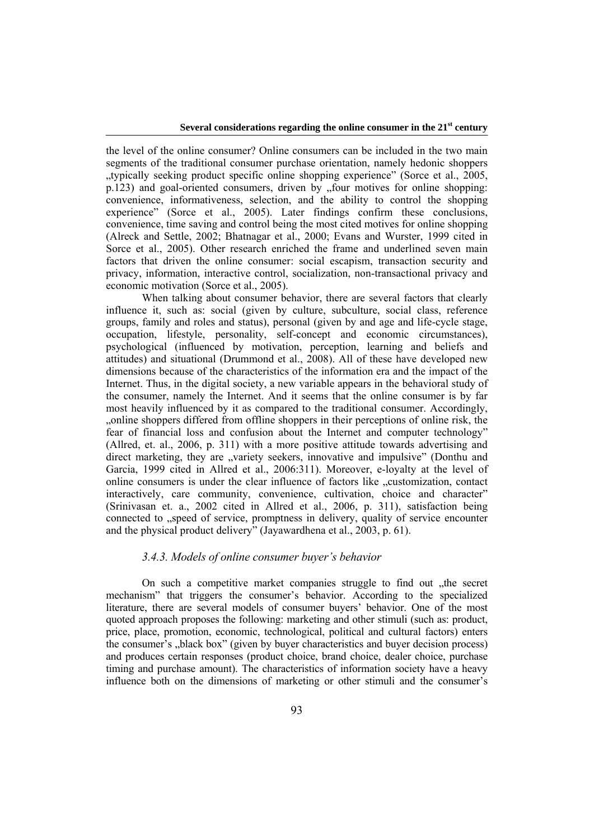the level of the online consumer? Online consumers can be included in the two main segments of the traditional consumer purchase orientation, namely hedonic shoppers "typically seeking product specific online shopping experience" (Sorce et al.,  $2005$ ,  $p.123$ ) and goal-oriented consumers, driven by  $\phi$ , four motives for online shopping: convenience, informativeness, selection, and the ability to control the shopping experience" (Sorce et al., 2005). Later findings confirm these conclusions, convenience, time saving and control being the most cited motives for online shopping (Alreck and Settle, 2002; Bhatnagar et al., 2000; Evans and Wurster, 1999 cited in Sorce et al., 2005). Other research enriched the frame and underlined seven main factors that driven the online consumer: social escapism, transaction security and privacy, information, interactive control, socialization, non-transactional privacy and economic motivation (Sorce et al., 2005).

When talking about consumer behavior, there are several factors that clearly influence it, such as: social (given by culture, subculture, social class, reference groups, family and roles and status), personal (given by and age and life-cycle stage, occupation, lifestyle, personality, self-concept and economic circumstances), psychological (influenced by motivation, perception, learning and beliefs and attitudes) and situational (Drummond et al., 2008). All of these have developed new dimensions because of the characteristics of the information era and the impact of the Internet. Thus, in the digital society, a new variable appears in the behavioral study of the consumer, namely the Internet. And it seems that the online consumer is by far most heavily influenced by it as compared to the traditional consumer. Accordingly, "online shoppers differed from offline shoppers in their perceptions of online risk, the fear of financial loss and confusion about the Internet and computer technology" (Allred, et. al., 2006, p. 311) with a more positive attitude towards advertising and direct marketing, they are "variety seekers, innovative and impulsive" (Donthu and Garcia, 1999 cited in Allred et al., 2006:311). Moreover, e-loyalty at the level of online consumers is under the clear influence of factors like "customization, contact" interactively, care community, convenience, cultivation, choice and character" (Srinivasan et. a., 2002 cited in Allred et al., 2006, p. 311), satisfaction being connected to "speed of service, promptness in delivery, quality of service encounter and the physical product delivery" (Jayawardhena et al., 2003, p. 61).

### *3.4.3. Models of online consumer buyer's behavior*

On such a competitive market companies struggle to find out "the secret mechanism" that triggers the consumer's behavior. According to the specialized literature, there are several models of consumer buyers' behavior. One of the most quoted approach proposes the following: marketing and other stimuli (such as: product, price, place, promotion, economic, technological, political and cultural factors) enters the consumer's "black box" (given by buyer characteristics and buyer decision process) and produces certain responses (product choice, brand choice, dealer choice, purchase timing and purchase amount). The characteristics of information society have a heavy influence both on the dimensions of marketing or other stimuli and the consumer's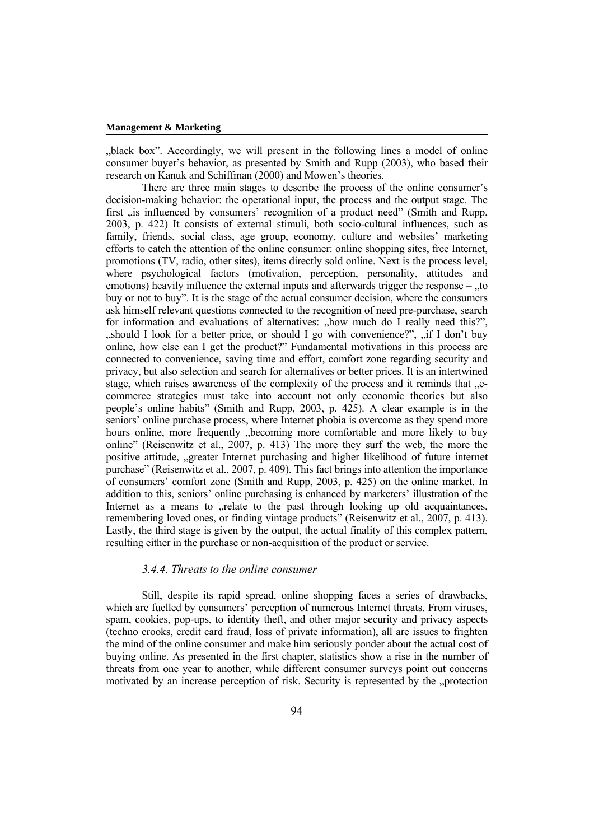black box". Accordingly, we will present in the following lines a model of online consumer buyer's behavior, as presented by Smith and Rupp (2003), who based their research on Kanuk and Schiffman (2000) and Mowen's theories.

There are three main stages to describe the process of the online consumer's decision-making behavior: the operational input, the process and the output stage. The first "is influenced by consumers' recognition of a product need" (Smith and Rupp, 2003, p. 422) It consists of external stimuli, both socio-cultural influences, such as family, friends, social class, age group, economy, culture and websites' marketing efforts to catch the attention of the online consumer: online shopping sites, free Internet, promotions (TV, radio, other sites), items directly sold online. Next is the process level, where psychological factors (motivation, perception, personality, attitudes and emotions) heavily influence the external inputs and afterwards trigger the response  $-$  ., to buy or not to buy". It is the stage of the actual consumer decision, where the consumers ask himself relevant questions connected to the recognition of need pre-purchase, search for information and evaluations of alternatives: "how much do I really need this?",  $n_s$ should I look for a better price, or should I go with convenience?",  $n_s$  if I don't buy online, how else can I get the product?" Fundamental motivations in this process are connected to convenience, saving time and effort, comfort zone regarding security and privacy, but also selection and search for alternatives or better prices. It is an intertwined stage, which raises awareness of the complexity of the process and it reminds that  $\mathcal{L}$ commerce strategies must take into account not only economic theories but also people's online habits" (Smith and Rupp, 2003, p. 425). A clear example is in the seniors' online purchase process, where Internet phobia is overcome as they spend more hours online, more frequently "becoming more comfortable and more likely to buy online" (Reisenwitz et al., 2007, p. 413) The more they surf the web, the more the positive attitude, "greater Internet purchasing and higher likelihood of future internet purchase" (Reisenwitz et al., 2007, p. 409). This fact brings into attention the importance of consumers' comfort zone (Smith and Rupp, 2003, p. 425) on the online market. In addition to this, seniors' online purchasing is enhanced by marketers' illustration of the Internet as a means to relate to the past through looking up old acquaintances, remembering loved ones, or finding vintage products" (Reisenwitz et al., 2007, p. 413). Lastly, the third stage is given by the output, the actual finality of this complex pattern, resulting either in the purchase or non-acquisition of the product or service.

#### *3.4.4. Threats to the online consumer*

Still, despite its rapid spread, online shopping faces a series of drawbacks, which are fuelled by consumers' perception of numerous Internet threats. From viruses, spam, cookies, pop-ups, to identity theft, and other major security and privacy aspects (techno crooks, credit card fraud, loss of private information), all are issues to frighten the mind of the online consumer and make him seriously ponder about the actual cost of buying online. As presented in the first chapter, statistics show a rise in the number of threats from one year to another, while different consumer surveys point out concerns motivated by an increase perception of risk. Security is represented by the "protection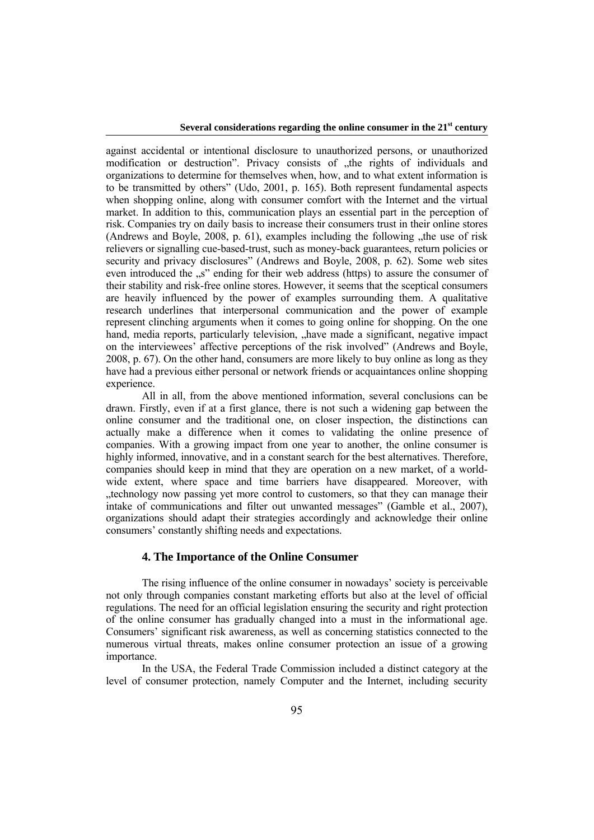against accidental or intentional disclosure to unauthorized persons, or unauthorized modification or destruction". Privacy consists of "the rights of individuals and organizations to determine for themselves when, how, and to what extent information is to be transmitted by others" (Udo, 2001, p. 165). Both represent fundamental aspects when shopping online, along with consumer comfort with the Internet and the virtual market. In addition to this, communication plays an essential part in the perception of risk. Companies try on daily basis to increase their consumers trust in their online stores (Andrews and Boyle,  $2008$ , p. 61), examples including the following  $\mu$ the use of risk relievers or signalling cue-based-trust, such as money-back guarantees, return policies or security and privacy disclosures" (Andrews and Boyle, 2008, p. 62). Some web sites even introduced the "s" ending for their web address (https) to assure the consumer of their stability and risk-free online stores. However, it seems that the sceptical consumers are heavily influenced by the power of examples surrounding them. A qualitative research underlines that interpersonal communication and the power of example represent clinching arguments when it comes to going online for shopping. On the one hand, media reports, particularly television, "have made a significant, negative impact on the interviewees' affective perceptions of the risk involved" (Andrews and Boyle, 2008, p. 67). On the other hand, consumers are more likely to buy online as long as they have had a previous either personal or network friends or acquaintances online shopping experience.

All in all, from the above mentioned information, several conclusions can be drawn. Firstly, even if at a first glance, there is not such a widening gap between the online consumer and the traditional one, on closer inspection, the distinctions can actually make a difference when it comes to validating the online presence of companies. With a growing impact from one year to another, the online consumer is highly informed, innovative, and in a constant search for the best alternatives. Therefore, companies should keep in mind that they are operation on a new market, of a worldwide extent, where space and time barriers have disappeared. Moreover, with "technology now passing yet more control to customers, so that they can manage their intake of communications and filter out unwanted messages" (Gamble et al., 2007), organizations should adapt their strategies accordingly and acknowledge their online consumers' constantly shifting needs and expectations.

### **4. The Importance of the Online Consumer**

The rising influence of the online consumer in nowadays' society is perceivable not only through companies constant marketing efforts but also at the level of official regulations. The need for an official legislation ensuring the security and right protection of the online consumer has gradually changed into a must in the informational age. Consumers' significant risk awareness, as well as concerning statistics connected to the numerous virtual threats, makes online consumer protection an issue of a growing importance.

In the USA, the Federal Trade Commission included a distinct category at the level of consumer protection, namely Computer and the Internet, including security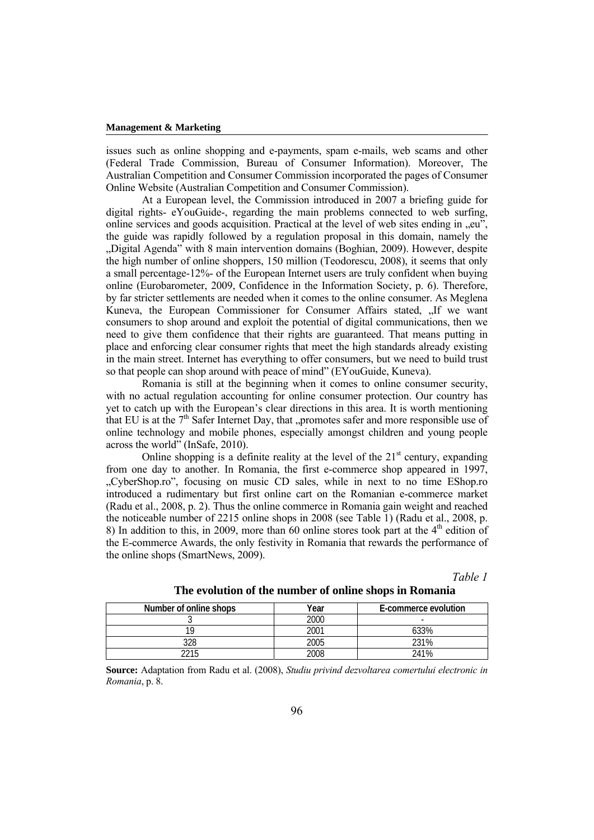issues such as online shopping and e-payments, spam e-mails, web scams and other (Federal Trade Commission, Bureau of Consumer Information). Moreover, The Australian Competition and Consumer Commission incorporated the pages of Consumer Online Website (Australian Competition and Consumer Commission).

At a European level, the Commission introduced in 2007 a briefing guide for digital rights- eYouGuide-, regarding the main problems connected to web surfing, online services and goods acquisition. Practical at the level of web sites ending in  $\alpha$ eu", the guide was rapidly followed by a regulation proposal in this domain, namely the "Digital Agenda" with 8 main intervention domains (Boghian, 2009). However, despite the high number of online shoppers, 150 million (Teodorescu, 2008), it seems that only a small percentage-12%- of the European Internet users are truly confident when buying online (Eurobarometer, 2009, Confidence in the Information Society, p. 6). Therefore, by far stricter settlements are needed when it comes to the online consumer. As Meglena Kuneva, the European Commissioner for Consumer Affairs stated, "If we want consumers to shop around and exploit the potential of digital communications, then we need to give them confidence that their rights are guaranteed. That means putting in place and enforcing clear consumer rights that meet the high standards already existing in the main street. Internet has everything to offer consumers, but we need to build trust so that people can shop around with peace of mind" (EYouGuide, Kuneva).

Romania is still at the beginning when it comes to online consumer security, with no actual regulation accounting for online consumer protection. Our country has yet to catch up with the European's clear directions in this area. It is worth mentioning that EU is at the  $7<sup>th</sup>$  Safer Internet Day, that "promotes safer and more responsible use of online technology and mobile phones, especially amongst children and young people across the world" (InSafe, 2010).

Online shopping is a definite reality at the level of the  $21<sup>st</sup>$  century, expanding from one day to another. In Romania, the first e-commerce shop appeared in 1997, "CyberShop.ro", focusing on music CD sales, while in next to no time EShop.ro introduced a rudimentary but first online cart on the Romanian e-commerce market (Radu et al., 2008, p. 2). Thus the online commerce in Romania gain weight and reached the noticeable number of 2215 online shops in 2008 (see Table 1) (Radu et al., 2008, p. 8) In addition to this, in 2009, more than 60 online stores took part at the  $4<sup>th</sup>$  edition of the E-commerce Awards, the only festivity in Romania that rewards the performance of the online shops (SmartNews, 2009).

*Table 1* 

| Number of online shops | Year | E-commerce evolution |
|------------------------|------|----------------------|
|                        | 2000 |                      |
|                        | 2001 | 33%                  |
| חרח                    | 2005 | 231%                 |
|                        | 2008 | 241%                 |

**The evolution of the number of online shops in Romania** 

**Source:** Adaptation from Radu et al. (2008), *Studiu privind dezvoltarea comertului electronic in Romania*, p. 8.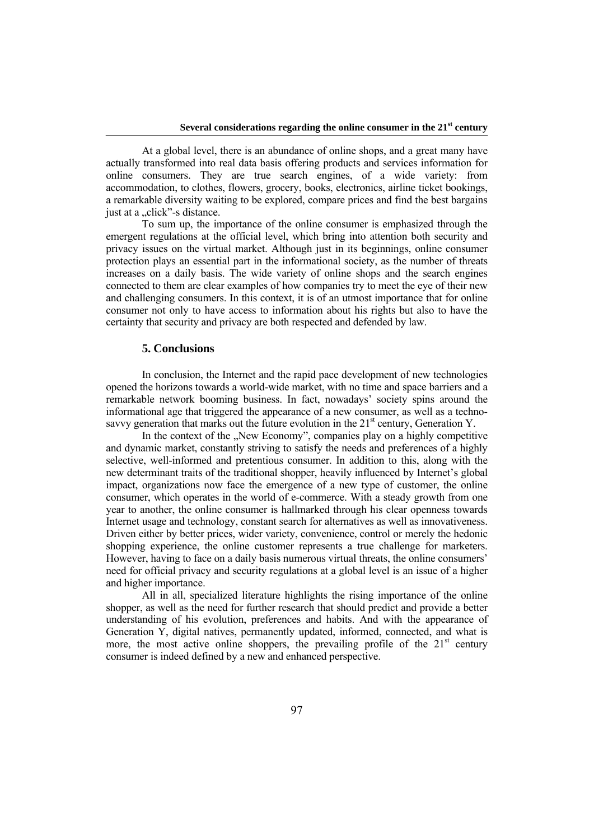At a global level, there is an abundance of online shops, and a great many have actually transformed into real data basis offering products and services information for online consumers. They are true search engines, of a wide variety: from accommodation, to clothes, flowers, grocery, books, electronics, airline ticket bookings, a remarkable diversity waiting to be explored, compare prices and find the best bargains just at a "click"-s distance.

To sum up, the importance of the online consumer is emphasized through the emergent regulations at the official level, which bring into attention both security and privacy issues on the virtual market. Although just in its beginnings, online consumer protection plays an essential part in the informational society, as the number of threats increases on a daily basis. The wide variety of online shops and the search engines connected to them are clear examples of how companies try to meet the eye of their new and challenging consumers. In this context, it is of an utmost importance that for online consumer not only to have access to information about his rights but also to have the certainty that security and privacy are both respected and defended by law.

### **5. Conclusions**

In conclusion, the Internet and the rapid pace development of new technologies opened the horizons towards a world-wide market, with no time and space barriers and a remarkable network booming business. In fact, nowadays' society spins around the informational age that triggered the appearance of a new consumer, as well as a technosavvy generation that marks out the future evolution in the  $21<sup>st</sup>$  century, Generation Y.

In the context of the "New Economy", companies play on a highly competitive and dynamic market, constantly striving to satisfy the needs and preferences of a highly selective, well-informed and pretentious consumer. In addition to this, along with the new determinant traits of the traditional shopper, heavily influenced by Internet's global impact, organizations now face the emergence of a new type of customer, the online consumer, which operates in the world of e-commerce. With a steady growth from one year to another, the online consumer is hallmarked through his clear openness towards Internet usage and technology, constant search for alternatives as well as innovativeness. Driven either by better prices, wider variety, convenience, control or merely the hedonic shopping experience, the online customer represents a true challenge for marketers. However, having to face on a daily basis numerous virtual threats, the online consumers' need for official privacy and security regulations at a global level is an issue of a higher and higher importance.

All in all, specialized literature highlights the rising importance of the online shopper, as well as the need for further research that should predict and provide a better understanding of his evolution, preferences and habits. And with the appearance of Generation Y, digital natives, permanently updated, informed, connected, and what is more, the most active online shoppers, the prevailing profile of the  $21<sup>st</sup>$  century consumer is indeed defined by a new and enhanced perspective.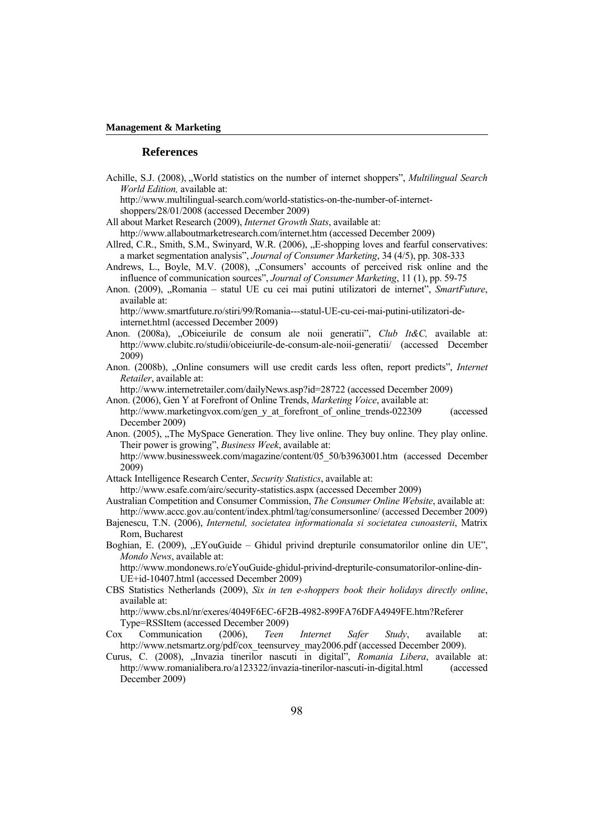#### **References**

Achille, S.J. (2008), "World statistics on the number of internet shoppers", *Multilingual Search World Edition,* available at:

 http://www.multilingual-search.com/world-statistics-on-the-number-of-internetshoppers/28/01/2008 (accessed December 2009)

- All about Market Research (2009), *Internet Growth Stats*, available at:
- http://www.allaboutmarketresearch.com/internet.htm (accessed December 2009)
- Allred, C.R., Smith, S.M., Swinyard, W.R. (2006), "E-shopping loves and fearful conservatives: a market segmentation analysis", *Journal of Consumer Marketing*, 34 (4/5), pp. 308-333
- Andrews, L., Boyle, M.V. (2008), "Consumers' accounts of perceived risk online and the influence of communication sources", *Journal of Consumer Marketing*, 11 (1), pp. 59-75
- Anon. (2009), "Romania statul UE cu cei mai putini utilizatori de internet", SmartFuture, available at:

 http://www.smartfuture.ro/stiri/99/Romania---statul-UE-cu-cei-mai-putini-utilizatori-deinternet.html (accessed December 2009)

- Anon. (2008a), "Obiceiurile de consum ale noii generatii", *Club It&C,* available at: http://www.clubitc.ro/studii/obiceiurile-de-consum-ale-noii-generatii/ (accessed December 2009)
- Anon. (2008b), "Online consumers will use credit cards less often, report predicts", *Internet Retailer*, available at:

http://www.internetretailer.com/dailyNews.asp?id=28722 (accessed December 2009)

- Anon. (2006), Gen Y at Forefront of Online Trends, *Marketing Voice*, available at: http://www.marketingvox.com/gen\_y\_at\_forefront\_of\_online\_trends-022309 (accessed December 2009)
- Anon. (2005), "The MySpace Generation. They live online. They buy online. They play online. Their power is growing", *Business Week*, available at:

 http://www.businessweek.com/magazine/content/05\_50/b3963001.htm (accessed December 2009)

Attack Intelligence Research Center, *Security Statistics*, available at:

http://www.esafe.com/airc/security-statistics.aspx (accessed December 2009)

- Australian Competition and Consumer Commission, *The Consumer Online Website*, available at: http://www.accc.gov.au/content/index.phtml/tag/consumersonline/ (accessed December 2009)
- Bajenescu, T.N. (2006), *Internetul, societatea informationala si societatea cunoasterii*, Matrix Rom, Bucharest
- Boghian, E. (2009),  $EYouGuide Ghidul privind drepturile consumatorilor online din UE''$ , *Mondo News*, available at:

http://www.mondonews.ro/eYouGuide-ghidul-privind-drepturile-consumatorilor-online-din-UE+id-10407.html (accessed December 2009)

CBS Statistics Netherlands (2009), *Six in ten e-shoppers book their holidays directly online*, available at:

http://www.cbs.nl/nr/exeres/4049F6EC-6F2B-4982-899FA76DFA4949FE.htm?Referer Type=RSSItem (accessed December 2009)

- Cox Communication (2006), *Teen Internet Safer Study*, available at: http://www.netsmartz.org/pdf/cox\_teensurvey\_may2006.pdf (accessed December 2009).
- Curus, C. (2008), "Invazia tinerilor nascuti in digital", *Romania Libera*, available at: http://www.romanialibera.ro/a123322/invazia-tinerilor-nascuti-in-digital.html (accessed December 2009)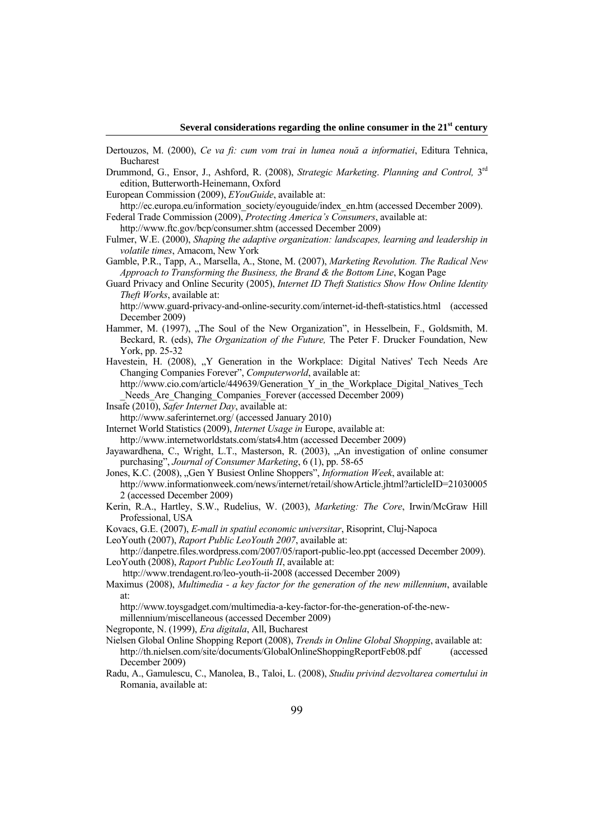- Dertouzos, M. (2000), *Ce va fi: cum vom trai in lumea nouă a informatiei*, Editura Tehnica, Bucharest
- Drummond, G., Ensor, J., Ashford, R. (2008), *Strategic Marketing*. *Planning and Control,* 3rd edition, Butterworth-Heinemann, Oxford
- European Commission (2009), *EYouGuide*, available at:
- http://ec.europa.eu/information\_society/eyouguide/index\_en.htm (accessed December 2009). Federal Trade Commission (2009), *Protecting America's Consumers*, available at:

http://www.ftc.gov/bcp/consumer.shtm (accessed December 2009)

- Fulmer, W.E. (2000), *Shaping the adaptive organization: landscapes, learning and leadership in volatile times*, Amacom, New York
- Gamble, P.R., Tapp, A., Marsella, A., Stone, M. (2007), *Marketing Revolution. The Radical New Approach to Transforming the Business, the Brand & the Bottom Line*, Kogan Page
- Guard Privacy and Online Security (2005), *Internet ID Theft Statistics Show How Online Identity Theft Works*, available at:

 http://www.guard-privacy-and-online-security.com/internet-id-theft-statistics.html (accessed December 2009)

- Hammer, M. (1997), "The Soul of the New Organization", in Hesselbein, F., Goldsmith, M. Beckard, R. (eds), *The Organization of the Future,* The Peter F. Drucker Foundation, New York, pp. 25-32
- Havestein, H. (2008), "Y Generation in the Workplace: Digital Natives' Tech Needs Are Changing Companies Forever", *Computerworld*, available at:

http://www.cio.com/article/449639/Generation\_Y\_in\_the\_Workplace\_Digital\_Natives\_Tech Needs Are Changing Companies Forever (accessed December 2009)

Insafe (2010), *Safer Internet Day*, available at:

http://www.saferinternet.org/ (accessed January 2010)

Internet World Statistics (2009), *Internet Usage in* Europe, available at:

- http://www.internetworldstats.com/stats4.htm (accessed December 2009)
- Jayawardhena, C., Wright, L.T., Masterson, R. (2003), "An investigation of online consumer purchasing", *Journal of Consumer Marketing*, 6 (1), pp. 58-65
- Jones, K.C. (2008), "Gen Y Busiest Online Shoppers", *Information Week*, available at:
- http://www.informationweek.com/news/internet/retail/showArticle.jhtml?articleID=21030005 2 (accessed December 2009)
- Kerin, R.A., Hartley, S.W., Rudelius, W. (2003), *Marketing: The Core*, Irwin/McGraw Hill Professional, USA

Kovacs, G.E. (2007), *E-mall in spatiul economic universitar*, Risoprint, Cluj-Napoca

LeoYouth (2007), *Raport Public LeoYouth 2007*, available at:

 http://danpetre.files.wordpress.com/2007/05/raport-public-leo.ppt (accessed December 2009). LeoYouth (2008), *Raport Public LeoYouth II*, available at:

http://www.trendagent.ro/leo-youth-ii-2008 (accessed December 2009)

Maximus (2008), *Multimedia - a key factor for the generation of the new millennium*, available at:

 http://www.toysgadget.com/multimedia-a-key-factor-for-the-generation-of-the-newmillennium/miscellaneous (accessed December 2009)

Negroponte, N. (1999), *Era digitala*, All, Bucharest

- Nielsen Global Online Shopping Report (2008), *Trends in Online Global Shopping*, available at: http://th.nielsen.com/site/documents/GlobalOnlineShoppingReportFeb08.pdf (accessed December 2009)
- Radu, A., Gamulescu, C., Manolea, B., Taloi, L. (2008), *Studiu privind dezvoltarea comertului in*  Romania, available at: